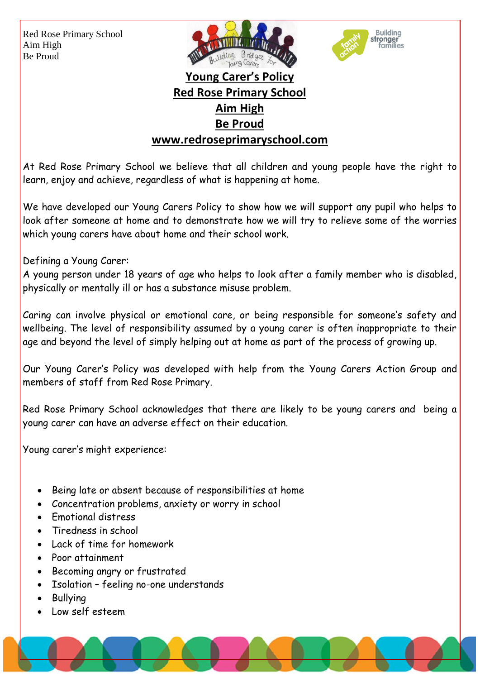Red Rose Primary School Aim High Be Proud





## **Young Carer's Policy Red Rose Primary School Aim High Be Proud www.redroseprimaryschool.com**

At Red Rose Primary School we believe that all children and young people have the right to learn, enjoy and achieve, regardless of what is happening at home.

We have developed our Young Carers Policy to show how we will support any pupil who helps to look after someone at home and to demonstrate how we will try to relieve some of the worries which young carers have about home and their school work.

Defining a Young Carer:

A young person under 18 years of age who helps to look after a family member who is disabled, physically or mentally ill or has a substance misuse problem.

Caring can involve physical or emotional care, or being responsible for someone's safety and wellbeing. The level of responsibility assumed by a young carer is often inappropriate to their age and beyond the level of simply helping out at home as part of the process of growing up.

Our Young Carer's Policy was developed with help from the Young Carers Action Group and members of staff from Red Rose Primary.

Red Rose Primary School acknowledges that there are likely to be young carers and being a young carer can have an adverse effect on their education.

Young carer's might experience:

- Being late or absent because of responsibilities at home
- Concentration problems, anxiety or worry in school
- Fmotional distress
- Tiredness in school
- Lack of time for homework
- Poor attainment
- Becoming angry or frustrated
- Isolation feeling no-one understands
- Bullying
- Low self esteem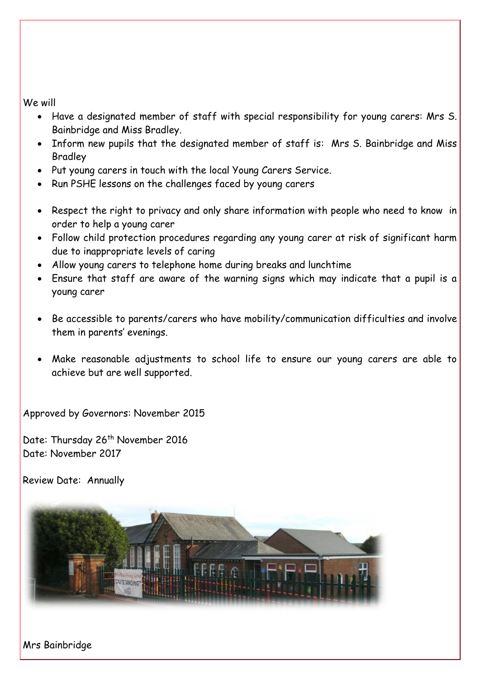We will

- Have a designated member of staff with special responsibility for young carers: Mrs S. Bainbridge and Miss Bradley.
- Inform new pupils that the designated member of staff is: Mrs S. Bainbridge and Miss Bradley
- Put young carers in touch with the local Young Carers Service.
- Run PSHE lessons on the challenges faced by young carers
- Respect the right to privacy and only share information with people who need to know in order to help a young carer
- Follow child protection procedures regarding any young carer at risk of significant harm due to inappropriate levels of caring
- Allow young carers to telephone home during breaks and lunchtime
- Ensure that staff are aware of the warning signs which may indicate that a pupil is a young carer
- Be accessible to parents/carers who have mobility/communication difficulties and involve them in parents' evenings.
- Make reasonable adjustments to school life to ensure our young carers are able to achieve but are well supported.

Approved by Governors: November 2015

Date: Thursday 26<sup>th</sup> November 2016 Date: November 2017

Review Date: Annually



Mrs Bainbridge